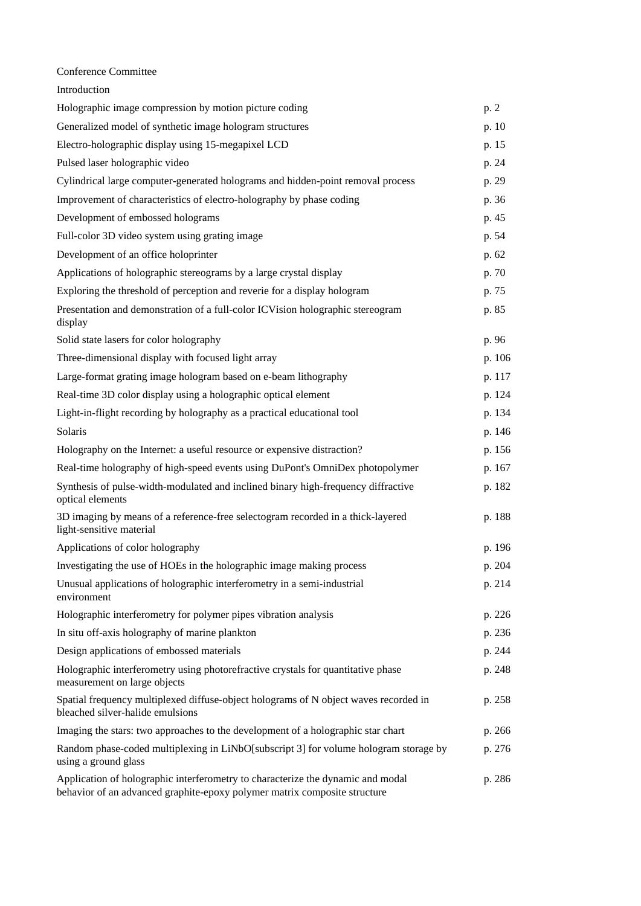Conference Committee

| Introduction                                                                                                                                                 |        |
|--------------------------------------------------------------------------------------------------------------------------------------------------------------|--------|
| Holographic image compression by motion picture coding                                                                                                       | p. 2   |
| Generalized model of synthetic image hologram structures                                                                                                     | p. 10  |
| Electro-holographic display using 15-megapixel LCD                                                                                                           | p. 15  |
| Pulsed laser holographic video                                                                                                                               | p. 24  |
| Cylindrical large computer-generated holograms and hidden-point removal process                                                                              | p. 29  |
| Improvement of characteristics of electro-holography by phase coding                                                                                         | p. 36  |
| Development of embossed holograms                                                                                                                            | p. 45  |
| Full-color 3D video system using grating image                                                                                                               | p. 54  |
| Development of an office holoprinter                                                                                                                         | p. 62  |
| Applications of holographic stereograms by a large crystal display                                                                                           | p. 70  |
| Exploring the threshold of perception and reverie for a display hologram                                                                                     | p. 75  |
| Presentation and demonstration of a full-color ICVision holographic stereogram<br>display                                                                    | p. 85  |
| Solid state lasers for color holography                                                                                                                      | p. 96  |
| Three-dimensional display with focused light array                                                                                                           | p. 106 |
| Large-format grating image hologram based on e-beam lithography                                                                                              | p. 117 |
| Real-time 3D color display using a holographic optical element                                                                                               | p. 124 |
| Light-in-flight recording by holography as a practical educational tool                                                                                      | p. 134 |
| Solaris                                                                                                                                                      | p. 146 |
| Holography on the Internet: a useful resource or expensive distraction?                                                                                      | p. 156 |
| Real-time holography of high-speed events using DuPont's OmniDex photopolymer                                                                                | p. 167 |
| Synthesis of pulse-width-modulated and inclined binary high-frequency diffractive<br>optical elements                                                        | p. 182 |
| 3D imaging by means of a reference-free selectogram recorded in a thick-layered<br>light-sensitive material                                                  | p. 188 |
| Applications of color holography                                                                                                                             | p. 196 |
| Investigating the use of HOEs in the holographic image making process                                                                                        | p. 204 |
| Unusual applications of holographic interferometry in a semi-industrial<br>environment                                                                       | p. 214 |
| Holographic interferometry for polymer pipes vibration analysis                                                                                              | p. 226 |
| In situ off-axis holography of marine plankton                                                                                                               | p. 236 |
| Design applications of embossed materials                                                                                                                    | p. 244 |
| Holographic interferometry using photorefractive crystals for quantitative phase<br>measurement on large objects                                             | p. 248 |
| Spatial frequency multiplexed diffuse-object holograms of N object waves recorded in<br>bleached silver-halide emulsions                                     | p. 258 |
| Imaging the stars: two approaches to the development of a holographic star chart                                                                             | p. 266 |
| Random phase-coded multiplexing in LiNbO[subscript 3] for volume hologram storage by<br>using a ground glass                                                 | p. 276 |
| Application of holographic interferometry to characterize the dynamic and modal<br>behavior of an advanced graphite-epoxy polymer matrix composite structure | p. 286 |